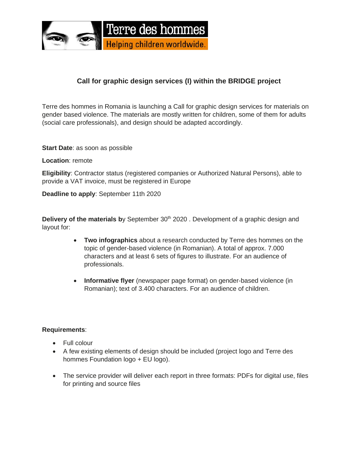

## **Call for graphic design services (I) within the BRIDGE project**

Terre des hommes in Romania is launching a Call for graphic design services for materials on gender based violence. The materials are mostly written for children, some of them for adults (social care professionals), and design should be adapted accordingly.

**Start Date**: as soon as possible

#### **Location**: remote

**Eligibility**: Contractor status (registered companies or Authorized Natural Persons), able to provide a VAT invoice, must be registered in Europe

**Deadline to apply**: September 11th 2020

**Delivery of the materials by September 30<sup>th</sup> 2020. Development of a graphic design and** layout for:

- **Two infographics** about a research conducted by Terre des hommes on the topic of gender-based violence (in Romanian). A total of approx. 7.000 characters and at least 6 sets of figures to illustrate. For an audience of professionals.
- **Informative flyer** (newspaper page format) on gender-based violence (in Romanian); text of 3.400 characters. For an audience of children.

#### **Requirements**:

- Full colour
- A few existing elements of design should be included (project logo and Terre des hommes Foundation logo + EU logo).
- The service provider will deliver each report in three formats: PDFs for digital use, files for printing and source files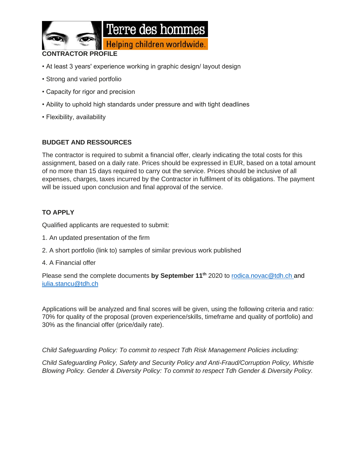

#### **CONTRACTOR PROFILE**

- At least 3 years' experience working in graphic design/ layout design
- Strong and varied portfolio
- Capacity for rigor and precision
- Ability to uphold high standards under pressure and with tight deadlines
- Flexibility, availability

#### **BUDGET AND RESSOURCES**

The contractor is required to submit a financial offer, clearly indicating the total costs for this assignment, based on a daily rate. Prices should be expressed in EUR, based on a total amount of no more than 15 days required to carry out the service. Prices should be inclusive of all expenses, charges, taxes incurred by the Contractor in fulfilment of its obligations. The payment will be issued upon conclusion and final approval of the service.

### **TO APPLY**

Qualified applicants are requested to submit:

- 1. An updated presentation of the firm
- 2. A short portfolio (link to) samples of similar previous work published
- 4. A Financial offer

Please send the complete documents **by September 11th** 2020 to [rodica.novac@tdh.ch](mailto:rodica.novac@tdh.ch) and iulia.stancu@tdh.ch

Applications will be analyzed and final scores will be given, using the following criteria and ratio: 70% for quality of the proposal (proven experience/skills, timeframe and quality of portfolio) and 30% as the financial offer (price/daily rate).

*Child Safeguarding Policy: To commit to respect Tdh Risk Management Policies including:*

*Child Safeguarding Policy, Safety and Security Policy and Anti-Fraud/Corruption Policy, Whistle Blowing Policy. Gender & Diversity Policy: To commit to respect Tdh Gender & Diversity Policy.*